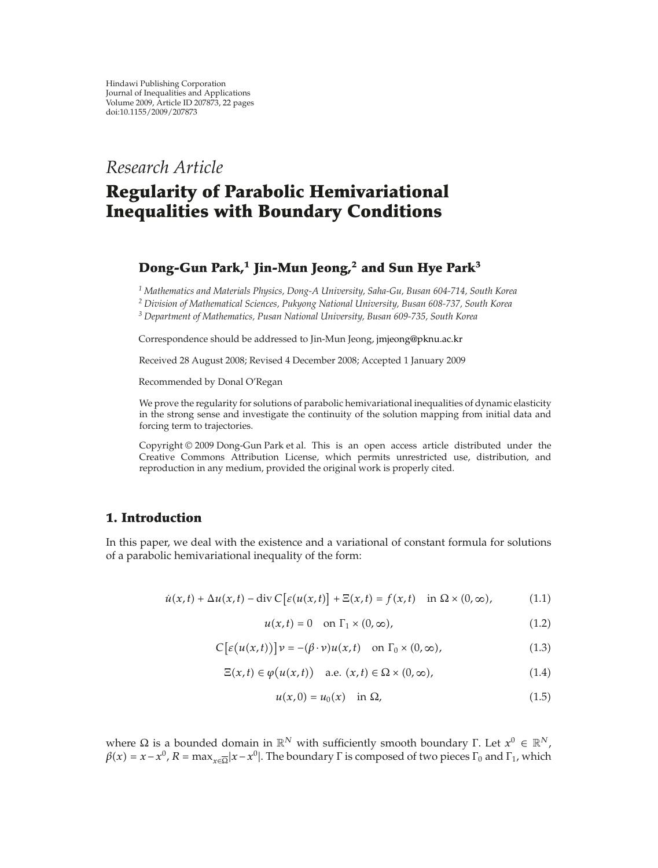## *Research Article*

# **Regularity of Parabolic Hemivariational Inequalities with Boundary Conditions**

## **Dong-Gun Park,1 Jin-Mun Jeong,<sup>2</sup> and Sun Hye Park<sup>3</sup>**

*<sup>1</sup> Mathematics and Materials Physics, Dong-A University, Saha-Gu, Busan 604-714, South Korea*

*<sup>2</sup> Division of Mathematical Sciences, Pukyong National University, Busan 608-737, South Korea*

*<sup>3</sup> Department of Mathematics, Pusan National University, Busan 609-735, South Korea*

Correspondence should be addressed to Jin-Mun Jeong, jmjeong@pknu.ac.kr

Received 28 August 2008; Revised 4 December 2008; Accepted 1 January 2009

Recommended by Donal O'Regan

We prove the regularity for solutions of parabolic hemivariational inequalities of dynamic elasticity in the strong sense and investigate the continuity of the solution mapping from initial data and forcing term to trajectories.

Copyright © 2009 Dong-Gun Park et al. This is an open access article distributed under the Creative Commons Attribution License, which permits unrestricted use, distribution, and reproduction in any medium, provided the original work is properly cited.

### **1. Introduction**

In this paper, we deal with the existence and a variational of constant formula for solutions of a parabolic hemivariational inequality of the form:

$$
\dot{u}(x,t) + \Delta u(x,t) - \text{div}\,C\big[\varepsilon(u(x,t)\big] + \Xi(x,t) = f(x,t) \quad \text{in } \Omega \times (0,\infty),\tag{1.1}
$$

$$
u(x,t) = 0 \quad \text{on } \Gamma_1 \times (0,\infty), \tag{1.2}
$$

$$
C\big[\varepsilon\big(u(x,t)\big)\big]\nu = -(\beta \cdot \nu)u(x,t) \quad \text{on } \Gamma_0 \times (0,\infty),\tag{1.3}
$$

$$
\Xi(x,t) \in \varphi(u(x,t)) \quad \text{a.e. } (x,t) \in \Omega \times (0,\infty), \tag{1.4}
$$

$$
u(x,0) = u_0(x) \quad \text{in } \Omega,\tag{1.5}
$$

where  $Ω$  is a bounded domain in  $\mathbb{R}^N$  with sufficiently smooth boundary Γ. Let  $x^0 \in \mathbb{R}^N$ ,  $\beta(x) = x - x^0$ ,  $R = \max_{x \in \overline{\Omega}} |x - x^0|$ . The boundary  $\Gamma$  is composed of two pieces  $\Gamma_0$  and  $\Gamma_1$ , which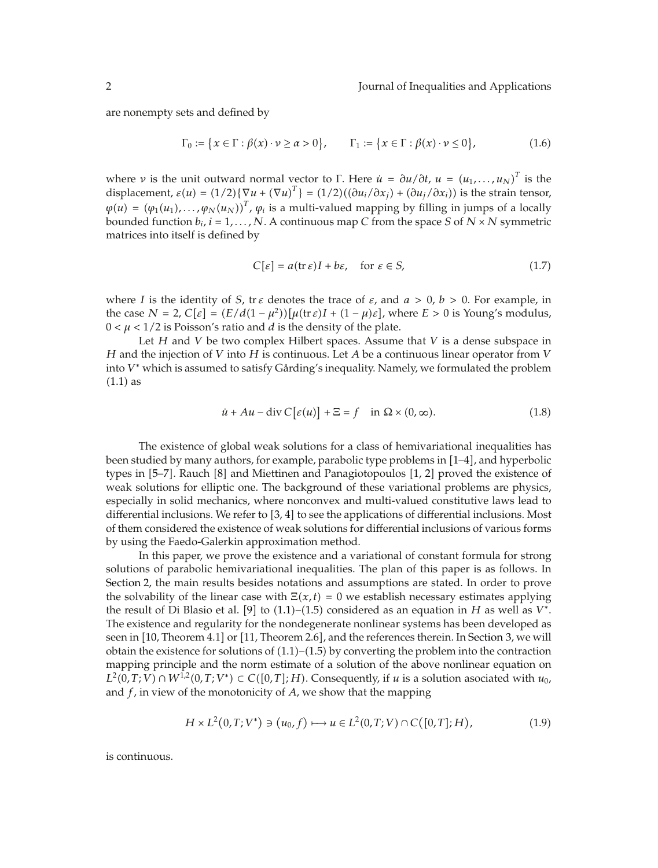are nonempty sets and defined by

$$
\Gamma_0 := \{x \in \Gamma : \beta(x) \cdot \nu \ge \alpha > 0\}, \qquad \Gamma_1 := \{x \in \Gamma : \beta(x) \cdot \nu \le 0\},\tag{1.6}
$$

where *ν* is the unit outward normal vector to Γ. Here  $\dot{u} = \frac{\partial u}{\partial t}$ ,  $u = (u_1, \dots, u_N)^T$  is the displacement,  $\varepsilon(u) = (1/2)\{\nabla u + (\nabla u)^T\} = (1/2)((\partial u_i/\partial x_j) + (\partial u_j/\partial x_i))$  is the strain tensor,  $\varphi(u) = (\varphi_1(u_1), \ldots, \varphi_N(u_N))^T$ ,  $\varphi_i$  is a multi-valued mapping by filling in jumps of a locally bounded function  $b_i$ ,  $i = 1, ..., N$ . A continuous map C from the space *S* of  $N \times N$  symmetric matrices into itself is defined by

$$
C[\varepsilon] = a(\text{tr}\,\varepsilon)I + b\varepsilon, \quad \text{for } \varepsilon \in S,
$$
 (1.7)

where *I* is the identity of *S*, tr *ε* denotes the trace of  $\varepsilon$ , and  $a > 0$ ,  $b > 0$ . For example, in the case  $N = 2$ ,  $C[\varepsilon] = (E/d(1 - \mu^2))[\mu(\text{tr}\,\varepsilon)I + (1 - \mu)\varepsilon]$ , where  $E > 0$  is Young's modulus,  $0 < \mu < 1/2$  is Poisson's ratio and *d* is the density of the plate.

Let *H* and *V* be two complex Hilbert spaces. Assume that *V* is a dense subspace in *H* and the injection of *V* into *H* is continuous. Let *A* be a continuous linear operator from *V* into  $V^*$  which is assumed to satisfy Gårding's inequality. Namely, we formulated the problem  $(1.1)$  as

$$
\dot{u} + Au - \operatorname{div} C[\varepsilon(u)] + \Xi = f \quad \text{in } \Omega \times (0, \infty).
$$
 (1.8)

The existence of global weak solutions for a class of hemivariational inequalities has been studied by many authors, for example, parabolic type problems in  $[1-4]$ , and hyperbolic types in  $[5-7]$ . Rauch  $[8]$  and Miettinen and Panagiotopoulos  $[1, 2]$  proved the existence of weak solutions for elliptic one. The background of these variational problems are physics, especially in solid mechanics, where nonconvex and multi-valued constitutive laws lead to differential inclusions. We refer to  $[3, 4]$  to see the applications of differential inclusions. Most of them considered the existence of weak solutions for differential inclusions of various forms by using the Faedo-Galerkin approximation method.

In this paper, we prove the existence and a variational of constant formula for strong solutions of parabolic hemivariational inequalities. The plan of this paper is as follows. In Section 2, the main results besides notations and assumptions are stated. In order to prove the solvability of the linear case with  $\Xi(x,t) = 0$  we establish necessary estimates applying the result of Di Blasio et al. [9] to  $(1.1)$ – $(1.5)$  considered as an equation in *H* as well as *V*<sup>\*</sup>. The existence and regularity for the nondegenerate nonlinear systems has been developed as seen in [10, Theorem 4.1] or [11, Theorem 2.6], and the references therein. In Section 3, we will obtain the existence for solutions of  $(1.1)$ – $(1.5)$  by converting the problem into the contraction mapping principle and the norm estimate of a solution of the above nonlinear equation on  $L^2(0, T; V)$  ∩  $W^{1,2}(0, T; V^*)$  ⊂  $C([0, T]; H)$ . Consequently, if *u* is a solution asociated with *u*<sub>0</sub>, and *f*, in view of the monotonicity of *A*, we show that the mapping

$$
H \times L^{2}(0,T;V^{*}) \ni (u_{0},f) \longmapsto u \in L^{2}(0,T;V) \cap C([0,T];H), \tag{1.9}
$$

is continuous.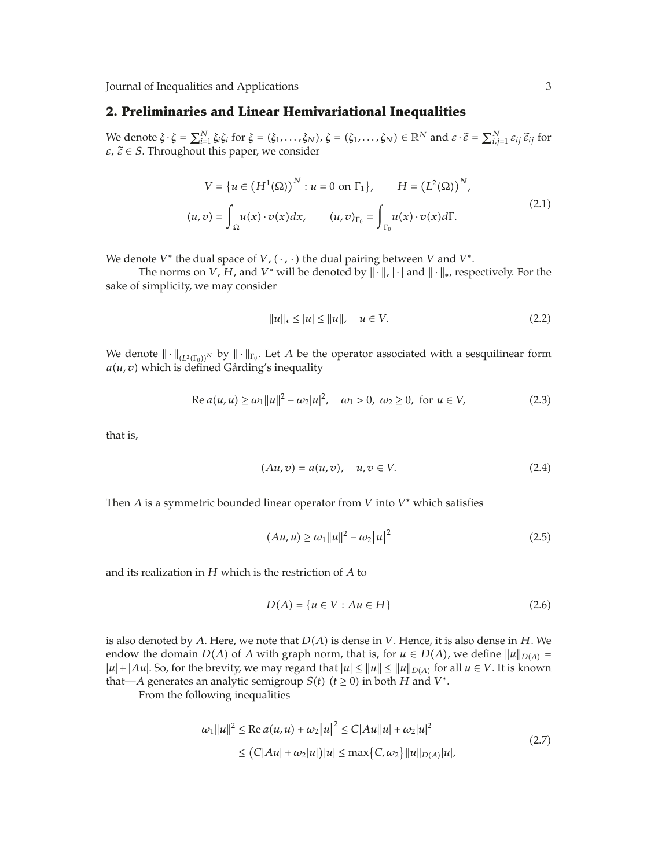## **2. Preliminaries and Linear Hemivariational Inequalities**

We denote  $\xi \cdot \xi = \sum_{i=1}^{N} \xi_i \xi_i$  for  $\xi = (\xi_1, ..., \xi_N)$ ,  $\xi = (\xi_1, ..., \xi_N) \in \mathbb{R}^N$  and  $\varepsilon \cdot \tilde{\varepsilon} = \sum_{i,j=1}^{N} \varepsilon_{ij} \tilde{\varepsilon}_{ij}$  for  $\varepsilon$ ,  $\tilde{\varepsilon} \in S$ . Throughout this paper, we consider

$$
V = \{u \in (H^1(\Omega))^N : u = 0 \text{ on } \Gamma_1\}, \qquad H = (L^2(\Omega))^N,
$$
  

$$
(u, v) = \int_{\Omega} u(x) \cdot v(x) dx, \qquad (u, v)_{\Gamma_0} = \int_{\Gamma_0} u(x) \cdot v(x) d\Gamma.
$$
 (2.1)

We denote  $V^*$  the dual space of  $V$ ,  $(\cdot, \cdot)$  the dual pairing between  $V$  and  $V^*$ .

The norms on *V*, *H*, and *V*<sup>\*</sup> will be denoted by  $\|\cdot\|$ ,  $|\cdot|$  and  $\|\cdot\|_*$ , respectively. For the sake of simplicity, we may consider

$$
||u||_* \le |u| \le ||u||, \quad u \in V. \tag{2.2}
$$

We denote  $\|\cdot\|_{(L^2(\Gamma_0))^N}$  by  $\|\cdot\|_{\Gamma_0}$ . Let *A* be the operator associated with a sesquilinear form  $a(u, v)$  which is defined Gårding's inequality

Re 
$$
a(u, u) \ge \omega_1 ||u||^2 - \omega_2 |u|^2
$$
,  $\omega_1 > 0$ ,  $\omega_2 \ge 0$ , for  $u \in V$ , (2.3)

that is,

$$
(Au, v) = a(u, v), \quad u, v \in V.
$$
\n
$$
(2.4)
$$

Then  $A$  is a symmetric bounded linear operator from  $V$  into  $V^*$  which satisfies

$$
(Au, u) \ge w_1 \|u\|^2 - w_2 |u|^2 \tag{2.5}
$$

and its realization in *H* which is the restriction of *A* to

$$
D(A) = \{u \in V : Au \in H\}
$$
 (2.6)

is also denoted by A. Here, we note that  $D(A)$  is dense in V. Hence, it is also dense in H. We endow the domain  $D(A)$  of *A* with graph norm, that is, for  $u \in D(A)$ , we define  $||u||_{D(A)} =$  $|u| + |Au|$ . So, for the brevity, we may regard that  $|u| \le ||u|| \le ||u||_{D(A)}$  for all  $u \in V$ . It is known that—*A* generates an analytic semigroup *S*(*t*) (*t*  $\geq$  0) in both *H* and *V*<sup>\*</sup>.

From the following inequalities

$$
\omega_1 \|u\|^2 \le \text{Re } a(u, u) + \omega_2 |u|^2 \le C|Au||u| + \omega_2 |u|^2
$$
  
 
$$
\le (C|Au| + \omega_2 |u|)|u| \le \max\{C, \omega_2\} ||u||_{D(A)} |u|,
$$
 (2.7)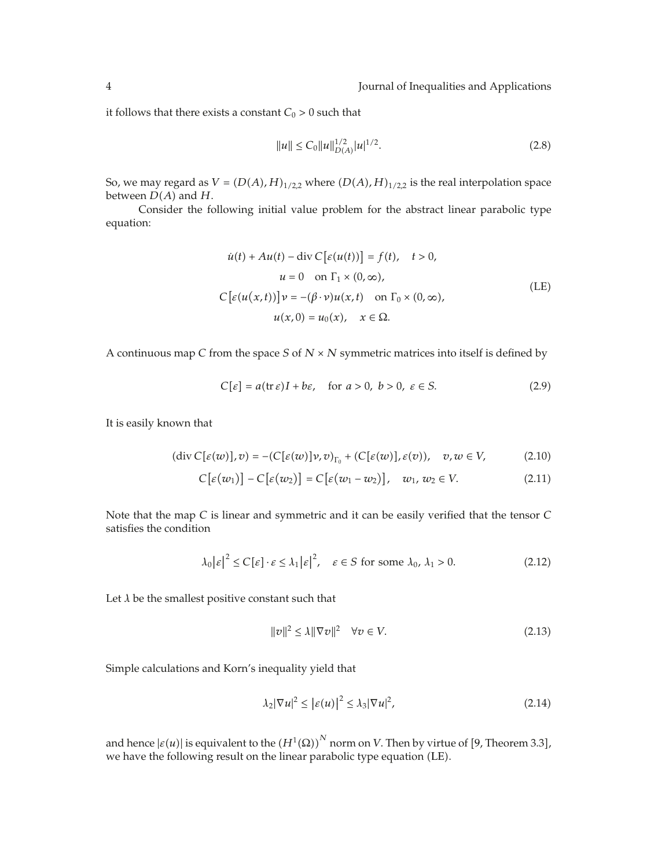it follows that there exists a constant  $C_0 > 0$  such that

$$
||u|| \leq C_0 ||u||_{D(A)}^{1/2} |u|^{1/2}.
$$
\n(2.8)

So, we may regard as  $V = (D(A), H)_{1/2,2}$  where  $(D(A), H)_{1/2,2}$  is the real interpolation space between  $D(A)$  and  $H$ .

Consider the following initial value problem for the abstract linear parabolic type equation:

$$
\dot{u}(t) + Au(t) - \text{div } C [\varepsilon(u(t))] = f(t), \quad t > 0,
$$
  
\n
$$
u = 0 \quad \text{on } \Gamma_1 \times (0, \infty),
$$
  
\n
$$
C [\varepsilon(u(x, t))] \nu = -(\beta \cdot \nu) u(x, t) \quad \text{on } \Gamma_0 \times (0, \infty),
$$
  
\n
$$
u(x, 0) = u_0(x), \quad x \in \Omega.
$$
\n(LE)

A continuous map *<sup>C</sup>* from the space *<sup>S</sup>* of *<sup>N</sup>* <sup>×</sup> *<sup>N</sup>* symmetric matrices into itself is defined by

$$
C[\varepsilon] = a(\text{tr}\,\varepsilon)I + b\varepsilon, \quad \text{for } a > 0, \ b > 0, \ \varepsilon \in S. \tag{2.9}
$$

It is easily known that

$$
(\operatorname{div} C[\varepsilon(w)], v) = -(C[\varepsilon(w)]\nu, v)_{\Gamma_0} + (C[\varepsilon(w)], \varepsilon(v)), \quad v, w \in V,
$$
 (2.10)

$$
C[\varepsilon(w_1)] - C[\varepsilon(w_2)] = C[\varepsilon(w_1 - w_2)], \quad w_1, w_2 \in V. \tag{2.11}
$$

Note that the map *C* is linear and symmetric and it can be easily verified that the tensor *C* satisfies the condition

$$
\lambda_0 |\varepsilon|^2 \le C[\varepsilon] \cdot \varepsilon \le \lambda_1 |\varepsilon|^2, \quad \varepsilon \in S \text{ for some } \lambda_0, \lambda_1 > 0. \tag{2.12}
$$

Let *λ* be the smallest positive constant such that

$$
||v||^2 \le \lambda ||\nabla v||^2 \quad \forall v \in V. \tag{2.13}
$$

Simple calculations and Korn's inequality yield that

$$
\lambda_2 |\nabla u|^2 \le |\varepsilon(u)|^2 \le \lambda_3 |\nabla u|^2,\tag{2.14}
$$

and hence  $|\varepsilon(u)|$  is equivalent to the  ${(H^1(\Omega))}^N$  norm on *V*. Then by virtue of [9, Theorem 3.3], we have the following result on the linear parabolic type equation (LE).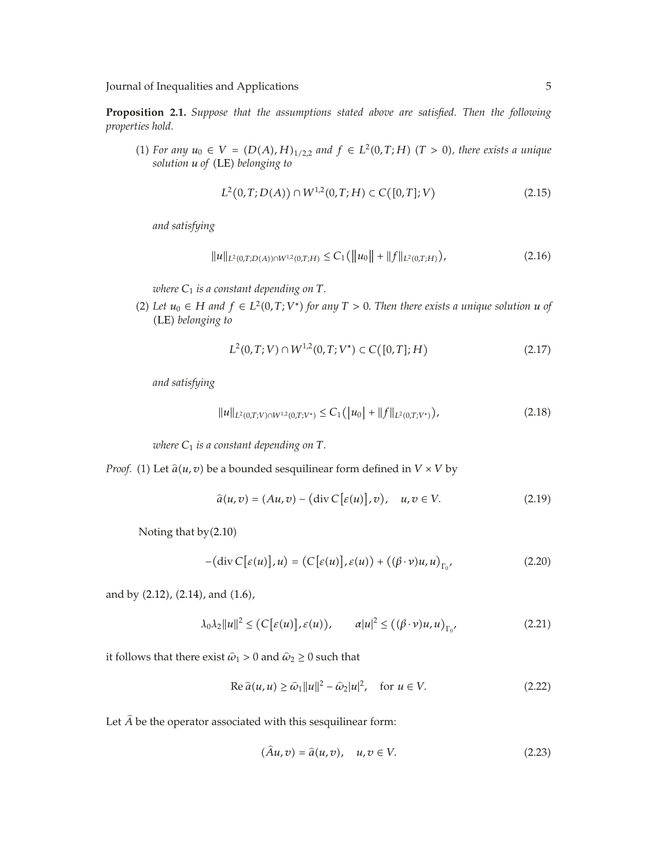**Proposition 2.1.** *Suppose that the assumptions stated above are satisfied. Then the following properties hold.*

(1) *For any*  $u_0$  ∈ *V* =  $(D(A), H)_{1/2,2}$  *and*  $f$  ∈  $L^2(0, T; H)$  (*T* > 0)*, there exists a unique*  $solution$  *u* of (LE) belonging to

$$
L^{2}(0,T;D(A)) \cap W^{1,2}(0,T;H) \subset C([0,T];V)
$$
\n(2.15)

*and satisfying*

$$
||u||_{L^{2}(0,T;D(A))\cap W^{1,2}(0,T;H)} \leq C_{1} (||u_{0}|| + ||f||_{L^{2}(0,T;H)}),
$$
\n(2.16)

*where C*<sup>1</sup> *is a constant depending on T.*

(2) Let  $u_0$  ∈ *H* and  $f$  ∈  $L^2(0,T; V^*)$  for any  $T > 0$ . Then there exists a unique solution *u* of -LE *belonging to*

$$
L^{2}(0,T;V) \cap W^{1,2}(0,T;V^{*}) \subset C([0,T];H)
$$
\n(2.17)

*and satisfying*

$$
||u||_{L^{2}(0,T;V)\cap W^{1,2}(0,T;V^{*})}\leq C_{1}(|u_{0}|+||f||_{L^{2}(0,T;V^{*})}),
$$
\n(2.18)

*where*  $C_1$  *is a constant depending on*  $T$ *.* 

*Proof.* (1) Let  $\hat{a}(u, v)$  be a bounded sesquilinear form defined in  $V \times V$  by

$$
\hat{a}(u,v) = (Au,v) - (\text{div } C[\varepsilon(u)],v), \quad u,v \in V. \tag{2.19}
$$

Noting that  $by(2.10)$ 

$$
-(\operatorname{div} C[\varepsilon(u)], u) = (C[\varepsilon(u)], \varepsilon(u)) + ((\beta \cdot \nu)u, u)_{\Gamma_0},
$$
\n(2.20)

and by (2.12), (2.14), and (1.6),

$$
\lambda_0 \lambda_2 \|u\|^2 \le (C[\varepsilon(u)], \varepsilon(u)), \qquad \alpha |u|^2 \le ((\beta \cdot \nu)u, u)_{\Gamma_0}, \tag{2.21}
$$

it follows that there exist  $\hat{\omega}_1 > 0$  and  $\hat{\omega}_2 \ge 0$  such that

$$
\operatorname{Re}\hat{a}(u,u)\geq \hat{\omega}_1\|u\|^2-\hat{\omega}_2|u|^2,\quad\text{for }u\in V.\tag{2.22}
$$

Let  $\widehat{A}$  be the operator associated with this sesquilinear form:

$$
(\hat{A}u,v) = \hat{a}(u,v), \quad u,v \in V. \tag{2.23}
$$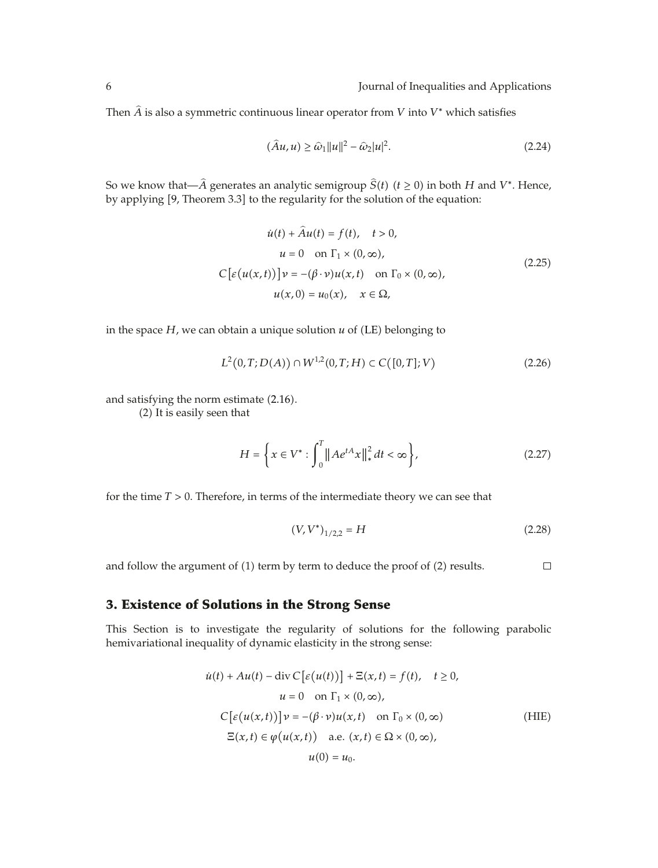Then  $\widehat{A}$  is also a symmetric continuous linear operator from *V* into *V*<sup>\*</sup> which satisfies

$$
(\widehat{A}u, u) \ge \widehat{\omega}_1 ||u||^2 - \widehat{\omega}_2 |u|^2. \tag{2.24}
$$

So we know that— $\hat{A}$  generates an analytic semigroup  $\hat{S}(t)$  ( $t \ge 0$ ) in both *H* and *V*<sup>\*</sup>. Hence, by applying [9, Theorem 3.3] to the regularity for the solution of the equation:

$$
\dot{u}(t) + \hat{A}u(t) = f(t), \quad t > 0,
$$
  
\n
$$
u = 0 \quad \text{on } \Gamma_1 \times (0, \infty),
$$
  
\n
$$
C\big[\varepsilon(u(x, t))\big]v = -(\beta \cdot v)u(x, t) \quad \text{on } \Gamma_0 \times (0, \infty),
$$
  
\n
$$
u(x, 0) = u_0(x), \quad x \in \Omega,
$$
\n(2.25)

in the space  $H$ , we can obtain a unique solution  $u$  of (LE) belonging to

$$
L^{2}(0,T;D(A)) \cap W^{1,2}(0,T;H) \subset C([0,T];V)
$$
\n(2.26)

and satisfying the norm estimate  $(2.16)$ .

(2) It is easily seen that

$$
H = \left\{ x \in V^* : \int_0^T \| A e^{tA} x \|_{*}^2 dt < \infty \right\},
$$
 (2.27)

for the time *T >* 0. Therefore, in terms of the intermediate theory we can see that

$$
(V, V^*)_{1/2,2} = H \tag{2.28}
$$

 $\Box$ and follow the argument of  $(1)$  term by term to deduce the proof of  $(2)$  results.

### **3. Existence of Solutions in the Strong Sense**

This Section is to investigate the regularity of solutions for the following parabolic hemivariational inequality of dynamic elasticity in the strong sense:

$$
\dot{u}(t) + Au(t) - \text{div } C \big[\varepsilon(u(t))\big] + \Xi(x, t) = f(t), \quad t \ge 0,
$$
  
\n
$$
u = 0 \quad \text{on } \Gamma_1 \times (0, \infty),
$$
  
\n
$$
C \big[\varepsilon(u(x, t))\big] v = -(\beta \cdot v) u(x, t) \quad \text{on } \Gamma_0 \times (0, \infty)
$$
  
\n
$$
\Xi(x, t) \in \varphi(u(x, t)) \quad \text{a.e. } (x, t) \in \Omega \times (0, \infty),
$$
  
\n
$$
u(0) = u_0.
$$
\n(HIE)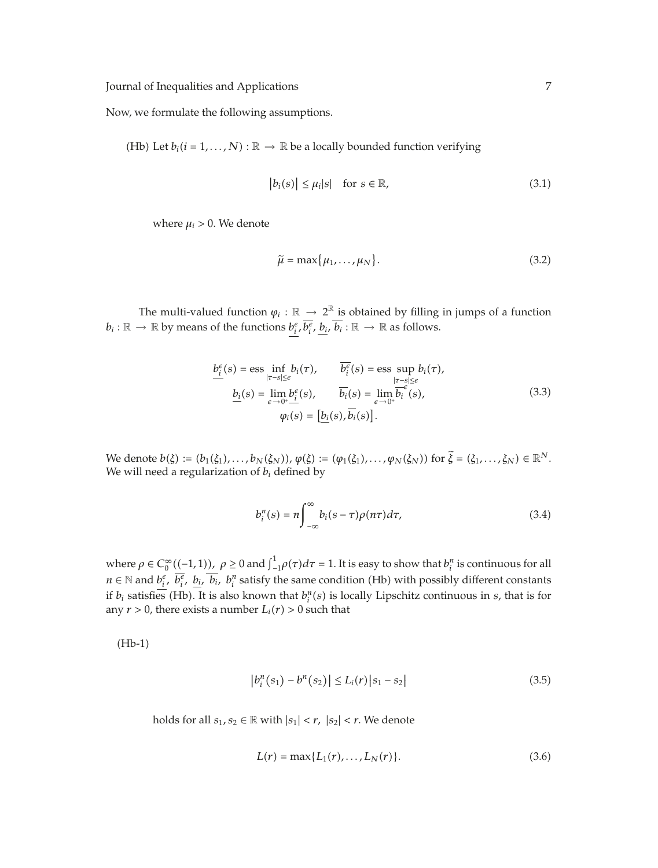Now, we formulate the following assumptions.

(Hb) Let  $b_i$  ( $i = 1, ..., N$ ) :  $\mathbb{R} \to \mathbb{R}$  be a locally bounded function verifying

$$
|b_i(s)| \le \mu_i |s| \quad \text{for } s \in \mathbb{R}, \tag{3.1}
$$

where  $\mu_i > 0$ . We denote

$$
\widetilde{\mu} = \max\{\mu_1, \dots, \mu_N\}.
$$
\n(3.2)

The multi-valued function  $\varphi_i : \mathbb{R} \to 2^{\mathbb{R}}$  is obtained by filling in jumps of a function  $b_i: \mathbb{R} \to \mathbb{R}$  by means of the functions  $b_i^{\epsilon}, \overline{b_i^{\epsilon}}, \underline{b_i}, \overline{b_i}: \mathbb{R} \to \mathbb{R}$  as follows.

$$
b_i^{\epsilon}(s) = \text{ess} \inf_{|\tau-s| \leq \epsilon} b_i(\tau), \qquad \overline{b_i^{\epsilon}}(s) = \text{ess} \sup_{|\tau-s| \leq \epsilon} b_i(\tau),
$$
  

$$
\underline{b_i}(s) = \lim_{\epsilon \to 0^+} \underline{b_i^{\epsilon}}(s), \qquad \overline{b_i}(s) = \lim_{\epsilon \to 0^+} \overline{b_i^{\epsilon}}(s),
$$
  

$$
\varphi_i(s) = [\underline{b_i}(s), \overline{b_i}(s)]. \tag{3.3}
$$

*We* denote *b*(*ξ*) := (*b*<sub>1</sub>(*ξ*<sub>1</sub>),...,*b*<sub>*N*</sub>(*ξ*<sub>*N*</sub>)), *φ*(*ξ*) := (*φ*<sub>1</sub>(*ξ*<sub>1</sub>),...,*φ*<sub>*N*</sub>(*ξ<sub>N</sub>*)) for  $\tilde{\xi} = (\xi_1, ..., \xi_N) \in \mathbb{R}^N$ . We will need a regularization of *bi* defined by

$$
b_i^n(s) = n \int_{-\infty}^{\infty} b_i(s-\tau) \rho(n\tau) d\tau,
$$
\n(3.4)

where  $\rho \in C_0^{\infty}((-1,1))$ ,  $\rho \ge 0$  and  $\int_{-1}^{1} \rho(\tau) d\tau = 1$ . It is easy to show that  $b_i^n$  is continuous for all *n* ∈ N and  $b_i^e$ ,  $\overline{b_i^e}$ ,  $\underline{b_i}$ ,  $\overline{b_i}$ ,  $b_i^n$  satisfy the same condition (Hb) with possibly different constants if  $b_i$  satisfies (Hb). It is also known that  $b_i^n(s)$  is locally Lipschitz continuous in *s*, that is for any  $r > 0$ , there exists a number  $L_i(r) > 0$  such that

 $(Hb-1)$ 

$$
|b_i^n(s_1) - b^n(s_2)| \le L_i(r) |s_1 - s_2|
$$
\n(3.5)

holds for all  $s_1, s_2 \in \mathbb{R}$  with  $|s_1| < r$ ,  $|s_2| < r$ . We denote

$$
L(r) = \max\{L_1(r), \dots, L_N(r)\}.
$$
 (3.6)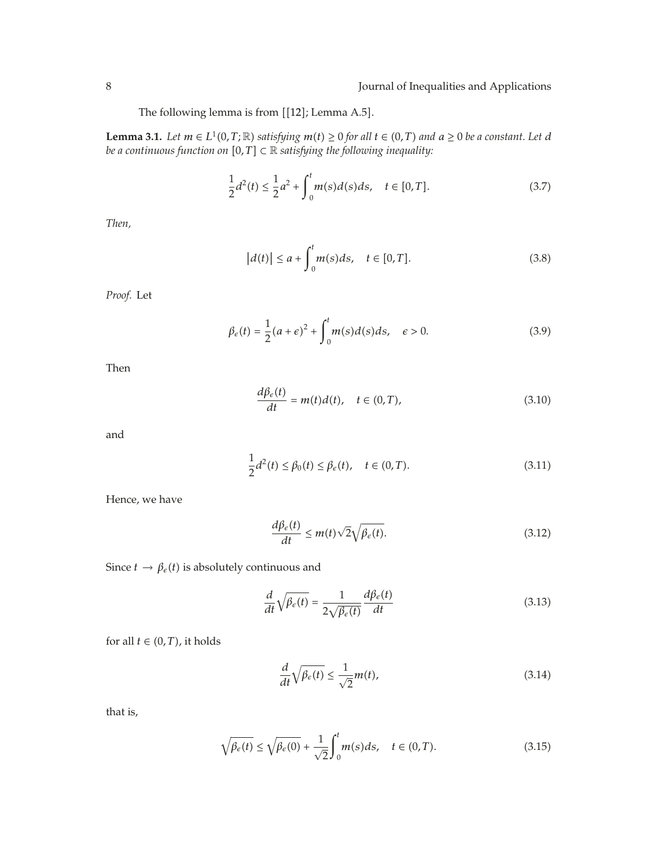The following lemma is from  $[[12]$ ; Lemma A.5].

**Lemma 3.1.** *Let*  $m \in L^1(0,T;\mathbb{R})$  *satisfying*  $m(t) \geq 0$  *for all*  $t \in (0,T)$  *and*  $a \geq 0$  *be a constant. Let d be a continuous function on*  $[0, T] \subset \mathbb{R}$  *satisfying the following inequality:* 

$$
\frac{1}{2}d^2(t) \le \frac{1}{2}a^2 + \int_0^t m(s)d(s)ds, \quad t \in [0, T].
$$
\n(3.7)

*Then,*

$$
|d(t)| \le a + \int_0^t m(s)ds, \quad t \in [0, T].
$$
 (3.8)

*Proof.* Let

$$
\beta_{\epsilon}(t) = \frac{1}{2}(a+\epsilon)^{2} + \int_{0}^{t} m(s)d(s)ds, \quad \epsilon > 0.
$$
\n(3.9)

Then

$$
\frac{d\beta_{\varepsilon}(t)}{dt} = m(t)d(t), \quad t \in (0, T), \tag{3.10}
$$

and

$$
\frac{1}{2}d^2(t) \le \beta_0(t) \le \beta_{\epsilon}(t), \quad t \in (0, T). \tag{3.11}
$$

Hence, we have

$$
\frac{d\beta_{\epsilon}(t)}{dt} \le m(t)\sqrt{2}\sqrt{\beta_{\epsilon}(t)}.\tag{3.12}
$$

Since  $t \to \beta_e(t)$  is absolutely continuous and

$$
\frac{d}{dt}\sqrt{\beta_{\epsilon}(t)} = \frac{1}{2\sqrt{\beta_{\epsilon}(t)}}\frac{d\beta_{\epsilon}(t)}{dt}
$$
\n(3.13)

for all  $t \in (0, T)$ , it holds

$$
\frac{d}{dt}\sqrt{\beta_{\epsilon}(t)} \le \frac{1}{\sqrt{2}}m(t),\tag{3.14}
$$

that is,

$$
\sqrt{\beta_{\epsilon}(t)} \le \sqrt{\beta_{\epsilon}(0)} + \frac{1}{\sqrt{2}} \int_0^t m(s)ds, \quad t \in (0, T). \tag{3.15}
$$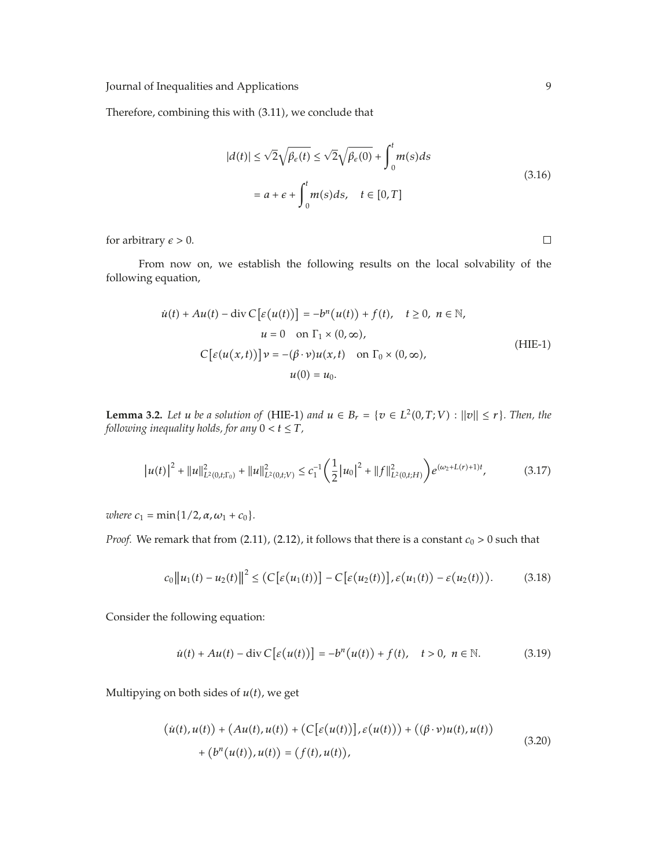Therefore, combining this with (3.11), we conclude that

$$
|d(t)| \le \sqrt{2}\sqrt{\beta_{\epsilon}(t)} \le \sqrt{2}\sqrt{\beta_{\epsilon}(0)} + \int_0^t m(s)ds
$$
  
=  $a + \epsilon + \int_0^t m(s)ds, \quad t \in [0, T]$  (3.16)

for arbitrary  $\epsilon > 0$ .

From now on, we establish the following results on the local solvability of the following equation,

$$
\dot{u}(t) + Au(t) - \text{div } C \big[\varepsilon(u(t))\big] = -b^n(u(t)) + f(t), \quad t \ge 0, \ n \in \mathbb{N},
$$
  
\n
$$
u = 0 \quad \text{on } \Gamma_1 \times (0, \infty),
$$
  
\n
$$
C \big[\varepsilon(u(x, t))\big] v = -(\beta \cdot v) u(x, t) \quad \text{on } \Gamma_0 \times (0, \infty),
$$
  
\n
$$
u(0) = u_0.
$$
\n(HIE-1)

**Lemma 3.2.** Let *u* be a solution of (HIE-1) and  $u \in B_r = \{v \in L^2(0,T;V) : ||v|| \leq r\}$ . Then, the *following inequality holds, for any*  $0 < t \leq T$ *,* 

$$
|u(t)|^2 + ||u||_{L^2(0,t;\Gamma_0)}^2 + ||u||_{L^2(0,t;V)}^2 \le c_1^{-1} \left(\frac{1}{2} |u_0|^2 + ||f||_{L^2(0,t;H)}^2\right) e^{(\omega_2 + L(r) + 1)t},\tag{3.17}
$$

*where*  $c_1 = \min\{1/2, \alpha, \omega_1 + c_0\}.$ 

*Proof.* We remark that from  $(2.11)$ ,  $(2.12)$ , it follows that there is a constant  $c_0 > 0$  such that

$$
c_0||u_1(t) - u_2(t)||^2 \leq (C[\varepsilon(u_1(t))] - C[\varepsilon(u_2(t))], \varepsilon(u_1(t)) - \varepsilon(u_2(t))). \qquad (3.18)
$$

Consider the following equation:

$$
\dot{u}(t) + Au(t) - \operatorname{div} C \big[\varepsilon\big(u(t)\big)\big] = -b^n\big(u(t)\big) + f(t), \quad t > 0, \ n \in \mathbb{N}.
$$
 (3.19)

Multipying on both sides of  $u(t)$ , we get

$$
(\dot{u}(t), u(t)) + (Au(t), u(t)) + (C[\varepsilon(u(t))], \varepsilon(u(t))) + ((\beta \cdot \nu)u(t), u(t)) + (bn(u(t)), u(t)) = (f(t), u(t)),
$$
\n(3.20)

 $\Box$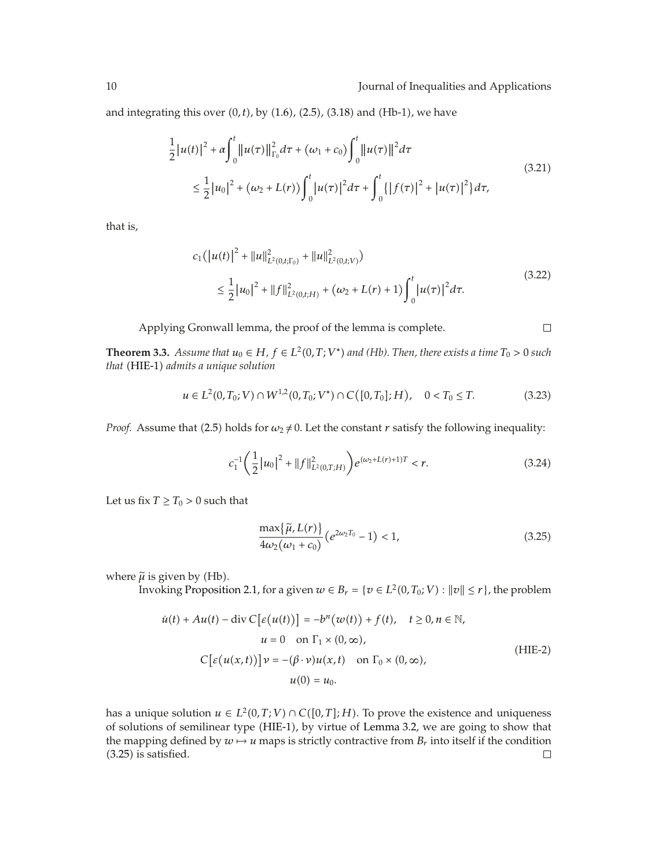$\Box$ 

and integrating this over  $(0, t)$ , by  $(1.6)$ ,  $(2.5)$ ,  $(3.18)$  and  $(Hb-1)$ , we have

$$
\frac{1}{2}|u(t)|^{2} + \alpha \int_{0}^{t} ||u(\tau)||_{\Gamma_{0}}^{2} d\tau + (\omega_{1} + c_{0}) \int_{0}^{t} ||u(\tau)||^{2} d\tau
$$
\n
$$
\leq \frac{1}{2}|u_{0}|^{2} + (\omega_{2} + L(r)) \int_{0}^{t} |u(\tau)|^{2} d\tau + \int_{0}^{t} \{|f(\tau)|^{2} + |u(\tau)|^{2}\} d\tau,
$$
\n(3.21)

that is,

$$
c_1(|u(t)|^2 + ||u||^2_{L^2(0,t;\Gamma_0)} + ||u||^2_{L^2(0,t;V)})
$$
  
\n
$$
\leq \frac{1}{2} |u_0|^2 + ||f||^2_{L^2(0,t;H)} + (\omega_2 + L(r) + 1) \int_0^t |u(\tau)|^2 d\tau.
$$
\n(3.22)

Applying Gronwall lemma, the proof of the lemma is complete.

**Theorem 3.3.** *Assume that*  $u_0 \in H$ *,*  $f \in L^2(0,T;V^*)$  *and (Hb). Then, there exists a time*  $T_0 > 0$  *such that* -HIE-1 *admits a unique solution*

$$
u \in L^{2}(0, T_{0}; V) \cap W^{1,2}(0, T_{0}; V^{*}) \cap C([0, T_{0}]; H), \quad 0 < T_{0} \leq T.
$$
 (3.23)

*Proof.* Assume that (2.5) holds for  $\omega_2 \neq 0$ . Let the constant *r* satisfy the following inequality:

$$
c_1^{-1} \left( \frac{1}{2} |u_0|^2 + \|f\|_{L^2(0,T;H)}^2 \right) e^{(\omega_2 + L(r) + 1)T} < r. \tag{3.24}
$$

Let us fix  $T \geq T_0 > 0$  such that

$$
\frac{\max\{\widetilde{\mu}, L(r)\}}{4\omega_2(\omega_1 + c_0)} \left(e^{2\omega_2 T_0} - 1\right) < 1,\tag{3.25}
$$

where  $\tilde{\mu}$  is given by (Hb).

Invoking Proposition 2.1, for a given  $w \in B_r = \{v \in L^2(0, T_0; V) : ||v|| \leq r\}$ , the problem

$$
\dot{u}(t) + Au(t) - \text{div } C \big[\varepsilon(u(t))\big] = -b^n(w(t)) + f(t), \quad t \ge 0, n \in \mathbb{N},
$$
  
\n
$$
u = 0 \quad \text{on } \Gamma_1 \times (0, \infty),
$$
  
\n
$$
C \big[\varepsilon(u(x, t))\big] v = -(\beta \cdot v) u(x, t) \quad \text{on } \Gamma_0 \times (0, \infty),
$$
  
\n
$$
u(0) = u_0.
$$
\n(HIE-2)

has a unique solution  $u \in L^2(0,T;V) \cap C([0,T];H)$ . To prove the existence and uniqueness of solutions of semilinear type (HIE-1), by virtue of Lemma 3.2, we are going to show that the mapping defined by  $w \mapsto u$  maps is strictly contractive from  $B_r$  into itself if the condition (3.25) is satisfied.  $(3.25)$  is satisfied.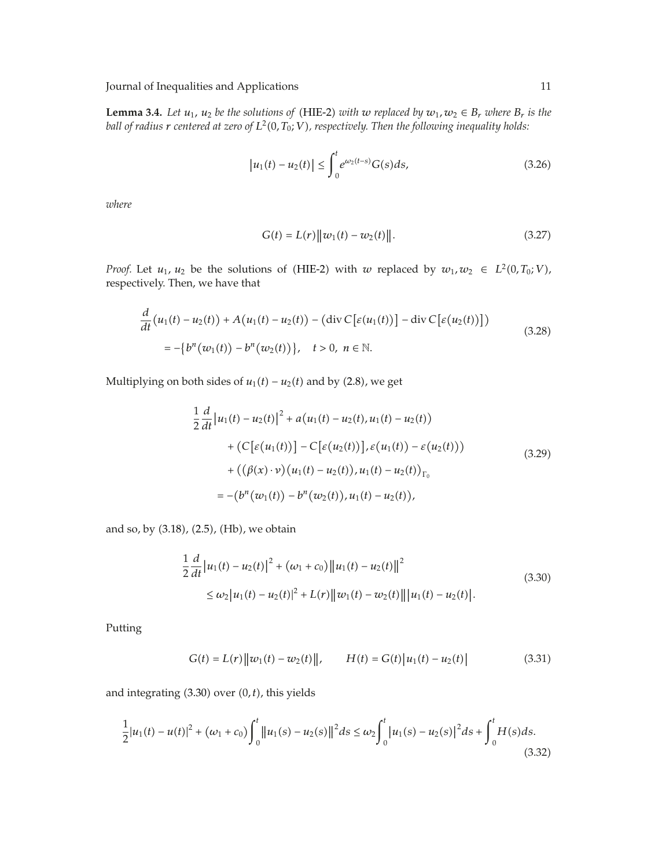**Lemma 3.4.** Let  $u_1$ ,  $u_2$  be the solutions of (HIE-2) with w replaced by  $w_1, w_2 \in B_r$  where  $B_r$  is the ball of radius  $r$  centered at zero of  $L^2(0,T_0;V)$ , respectively. Then the following inequality holds:

$$
|u_1(t) - u_2(t)| \le \int_0^t e^{\omega_2(t-s)} G(s) ds,
$$
\n(3.26)

*where*

$$
G(t) = L(r) ||w_1(t) - w_2(t)||.
$$
 (3.27)

*Proof.* Let  $u_1, u_2$  be the solutions of (HIE-2) with *w* replaced by  $w_1, w_2 \in L^2(0, T_0; V)$ , respectively. Then, we have that

$$
\frac{d}{dt}(u_1(t) - u_2(t)) + A(u_1(t) - u_2(t)) - (\text{div } C[\varepsilon(u_1(t))] - \text{div } C[\varepsilon(u_2(t))])
$$
\n
$$
= -\{b^n(w_1(t)) - b^n(w_2(t))\}, \quad t > 0, \ n \in \mathbb{N}.
$$
\n(3.28)

Multiplying on both sides of  $u_1(t) - u_2(t)$  and by  $(2.8)$ , we get

$$
\frac{1}{2} \frac{d}{dt} |u_1(t) - u_2(t)|^2 + a(u_1(t) - u_2(t), u_1(t) - u_2(t))
$$
  
+  $(C[\varepsilon(u_1(t))] - C[\varepsilon(u_2(t))], \varepsilon(u_1(t)) - \varepsilon(u_2(t)))$   
+  $((\beta(x) \cdot v) (u_1(t) - u_2(t)), u_1(t) - u_2(t))_{\Gamma_0}$   
=  $-(b^n(w_1(t)) - b^n(w_2(t)), u_1(t) - u_2(t)),$  (3.29)

and so, by (3.18), (2.5), (Hb), we obtain

$$
\frac{1}{2}\frac{d}{dt}\left|u_1(t) - u_2(t)\right|^2 + \left(\omega_1 + c_0\right)\left\|u_1(t) - u_2(t)\right\|^2
$$
\n
$$
\leq \omega_2\left|u_1(t) - u_2(t)\right|^2 + L(r)\left\|w_1(t) - w_2(t)\right\|\left|u_1(t) - u_2(t)\right|.\tag{3.30}
$$

Putting

$$
G(t) = L(r) ||w_1(t) - w_2(t)||, \qquad H(t) = G(t) |u_1(t) - u_2(t)| \qquad (3.31)
$$

and integrating (3.30) over (0, t), this yields

$$
\frac{1}{2}|u_1(t) - u(t)|^2 + (\omega_1 + c_0) \int_0^t ||u_1(s) - u_2(s)||^2 ds \le \omega_2 \int_0^t |u_1(s) - u_2(s)|^2 ds + \int_0^t H(s) ds. \tag{3.32}
$$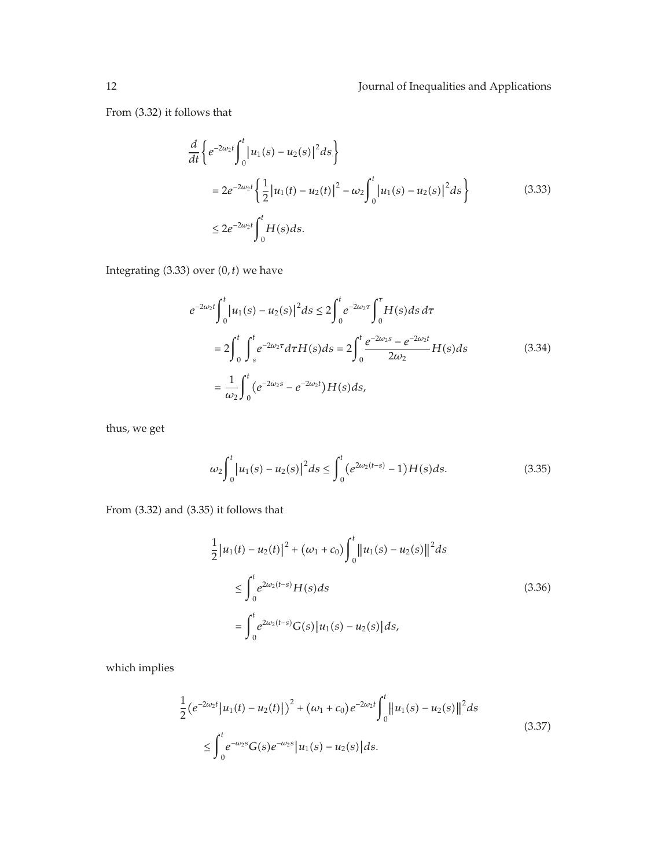From (3.32) it follows that

$$
\frac{d}{dt} \left\{ e^{-2\omega_2 t} \int_0^t |u_1(s) - u_2(s)|^2 ds \right\}
$$
  
=  $2e^{-2\omega_2 t} \left\{ \frac{1}{2} |u_1(t) - u_2(t)|^2 - \omega_2 \int_0^t |u_1(s) - u_2(s)|^2 ds \right\}$  (3.33)  
 $\leq 2e^{-2\omega_2 t} \int_0^t H(s) ds.$ 

Integrating  $(3.33)$  over  $(0, t)$  we have

$$
e^{-2\omega_2 t} \int_0^t |u_1(s) - u_2(s)|^2 ds \le 2 \int_0^t e^{-2\omega_2 \tau} \int_0^{\tau} H(s) ds d\tau
$$
  
= 
$$
2 \int_0^t \int_s^t e^{-2\omega_2 \tau} d\tau H(s) ds = 2 \int_0^t \frac{e^{-2\omega_2 s} - e^{-2\omega_2 t}}{2\omega_2} H(s) ds
$$
  
= 
$$
\frac{1}{\omega_2} \int_0^t (e^{-2\omega_2 s} - e^{-2\omega_2 t}) H(s) ds,
$$
 (3.34)

thus, we get

$$
\omega_2 \int_0^t \left| u_1(s) - u_2(s) \right|^2 ds \le \int_0^t \left( e^{2\omega_2(t-s)} - 1 \right) H(s) ds. \tag{3.35}
$$

From (3.32) and (3.35) it follows that

$$
\frac{1}{2} |u_1(t) - u_2(t)|^2 + (\omega_1 + c_0) \int_0^t ||u_1(s) - u_2(s)||^2 ds
$$
\n
$$
\leq \int_0^t e^{2\omega_2(t-s)} H(s) ds
$$
\n
$$
= \int_0^t e^{2\omega_2(t-s)} G(s) |u_1(s) - u_2(s)| ds,
$$
\n(3.36)

which implies

$$
\frac{1}{2} \left( e^{-2\omega_2 t} |u_1(t) - u_2(t)| \right)^2 + (\omega_1 + c_0) e^{-2\omega_2 t} \int_0^t ||u_1(s) - u_2(s)||^2 ds
$$
\n
$$
\leq \int_0^t e^{-\omega_2 s} G(s) e^{-\omega_2 s} |u_1(s) - u_2(s)| ds.
$$
\n(3.37)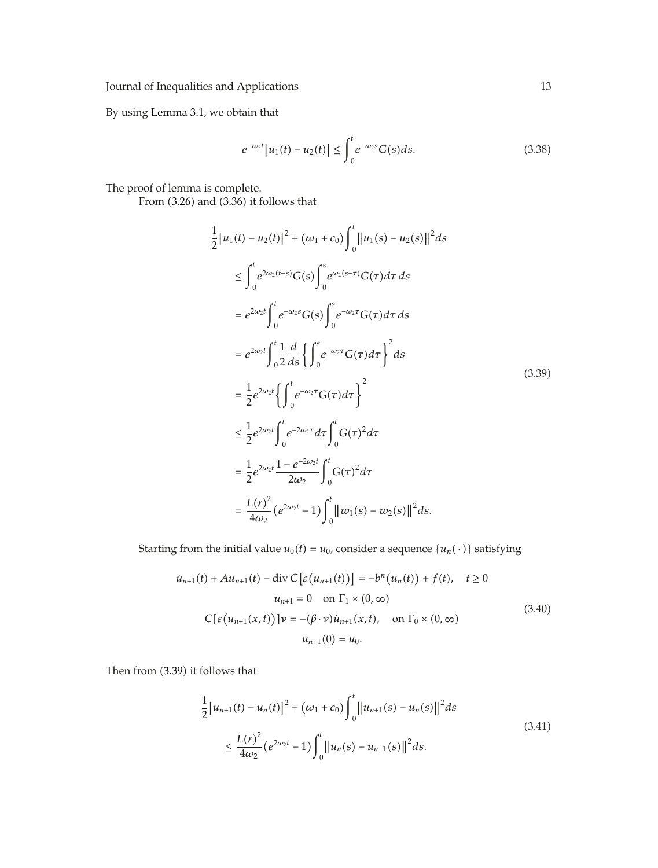By using Lemma 3.1, we obtain that

$$
e^{-\omega_2 t} |u_1(t) - u_2(t)| \le \int_0^t e^{-\omega_2 s} G(s) ds.
$$
 (3.38)

The proof of lemma is complete.

From (3.26) and (3.36) it follows that

$$
\frac{1}{2}|u_1(t) - u_2(t)|^2 + (\omega_1 + c_0) \int_0^t ||u_1(s) - u_2(s)||^2 ds
$$
\n
$$
\leq \int_0^t e^{2\omega_2(t-s)} G(s) \int_0^s e^{\omega_2(s-\tau)} G(\tau) d\tau ds
$$
\n
$$
= e^{2\omega_2 t} \int_0^t e^{-\omega_2 s} G(s) \int_0^s e^{-\omega_2 \tau} G(\tau) d\tau ds
$$
\n
$$
= e^{2\omega_2 t} \int_0^t \frac{1}{2} \frac{d}{ds} \left\{ \int_0^s e^{-\omega_2 \tau} G(\tau) d\tau \right\}^2 ds
$$
\n
$$
= \frac{1}{2} e^{2\omega_2 t} \left\{ \int_0^t e^{-\omega_2 \tau} G(\tau) d\tau \right\}^2
$$
\n
$$
\leq \frac{1}{2} e^{2\omega_2 t} \int_0^t e^{-2\omega_2 \tau} d\tau \int_0^t G(\tau)^2 d\tau
$$
\n
$$
= \frac{1}{2} e^{2\omega_2 t} \frac{1 - e^{-2\omega_2 t}}{2\omega_2} \int_0^t G(\tau)^2 d\tau
$$
\n
$$
= \frac{L(\tau)^2}{4\omega_2} (e^{2\omega_2 t} - 1) \int_0^t ||\omega_1(s) - \omega_2(s)||^2 ds.
$$
\n(3.39)

Starting from the initial value  $u_0(t) = u_0$ , consider a sequence  $\{u_n(\cdot)\}\$  satisfying

$$
\dot{u}_{n+1}(t) + Au_{n+1}(t) - \text{div } C \big[ \varepsilon (u_{n+1}(t)) \big] = -b^n (u_n(t)) + f(t), \quad t \ge 0
$$
  

$$
u_{n+1} = 0 \quad \text{on } \Gamma_1 \times (0, \infty)
$$
  

$$
C \big[ \varepsilon (u_{n+1}(x, t)) \big] \nu = -(\beta \cdot \nu) \dot{u}_{n+1}(x, t), \quad \text{on } \Gamma_0 \times (0, \infty)
$$
  

$$
u_{n+1}(0) = u_0.
$$
 (3.40)

Then from (3.39) it follows that

$$
\frac{1}{2} |u_{n+1}(t) - u_n(t)|^2 + (\omega_1 + c_0) \int_0^t ||u_{n+1}(s) - u_n(s)||^2 ds
$$
\n
$$
\leq \frac{L(r)^2}{4\omega_2} (e^{2\omega_2 t} - 1) \int_0^t ||u_n(s) - u_{n-1}(s)||^2 ds.
$$
\n(3.41)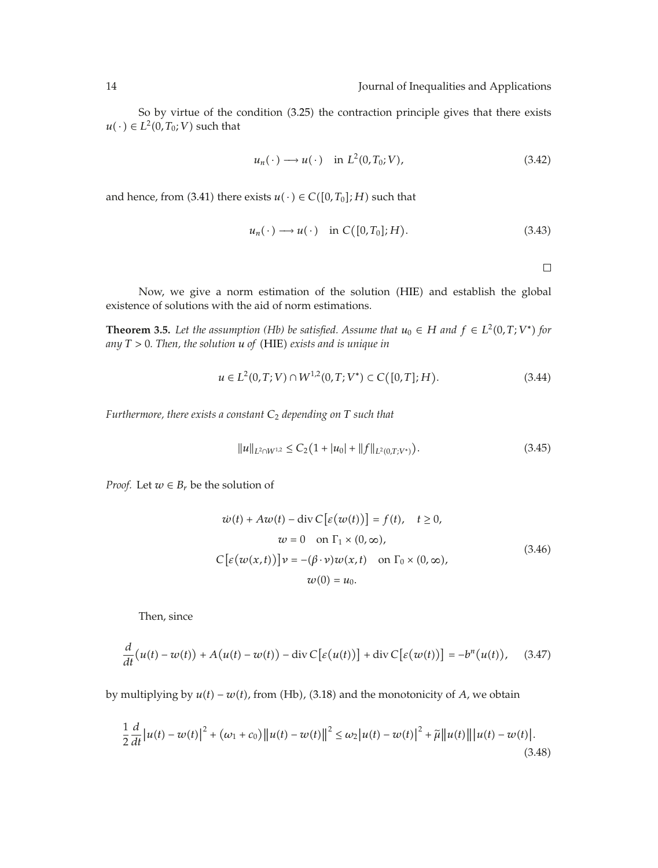So by virtue of the condition  $(3.25)$  the contraction principle gives that there exists  $u(\cdot) \in L^2(0,T_0;V)$  such that

$$
u_n(\cdot) \longrightarrow u(\cdot) \quad \text{in } L^2(0, T_0; V), \tag{3.42}
$$

and hence, from (3.41) there exists  $u(\cdot) \in C([0,T_0];H)$  such that

$$
u_n(\cdot) \longrightarrow u(\cdot) \quad \text{in } C([0,T_0];H). \tag{3.43}
$$

 $\Box$ 

Now, we give a norm estimation of the solution (HIE) and establish the global existence of solutions with the aid of norm estimations.

**Theorem 3.5.** *Let the assumption (Hb) be satisfied. Assume that*  $u_0 \in H$  *and*  $f \in L^2(0,T;V^*)$  *for any T >* 0*. Then, the solution u of* -HIE *exists and is unique in*

$$
u \in L^{2}(0,T;V) \cap W^{1,2}(0,T;V^{*}) \subset C([0,T];H). \tag{3.44}
$$

*Furthermore, there exists a constant C*<sup>2</sup> *depending on T such that*

$$
||u||_{L^{2}\cap W^{1,2}} \leq C_{2}(1+|u_{0}|+||f||_{L^{2}(0,T;V^{*})}). \tag{3.45}
$$

*Proof.* Let  $w \in B_r$  be the solution of

$$
\dot{w}(t) + Aw(t) - \text{div } C \big[\varepsilon(w(t))\big] = f(t), \quad t \ge 0,
$$
  
\n
$$
w = 0 \quad \text{on } \Gamma_1 \times (0, \infty),
$$
  
\n
$$
C \big[\varepsilon(w(x, t))\big] v = -(\beta \cdot v) w(x, t) \quad \text{on } \Gamma_0 \times (0, \infty),
$$
  
\n
$$
w(0) = u_0.
$$
\n(3.46)

Then, since

$$
\frac{d}{dt}\big(u(t)-w(t)\big)+A\big(u(t)-w(t)\big)-\mathrm{div}\,C\big[\varepsilon\big(u(t)\big)\big]+\mathrm{div}\,C\big[\varepsilon\big(w(t)\big)\big]=-b^{n}\big(u(t)\big),\quad(3.47)
$$

by multiplying by  $u(t) - w(t)$ , from (Hb), (3.18) and the monotonicity of *A*, we obtain

$$
\frac{1}{2}\frac{d}{dt}\left|u(t)-w(t)\right|^2 + \left(\omega_1 + c_0\right)\left\|u(t)-w(t)\right\|^2 \leq \omega_2\left|u(t)-w(t)\right|^2 + \tilde{\mu}\left\|u(t)\right\|\left|u(t)-w(t)\right|.
$$
\n(3.48)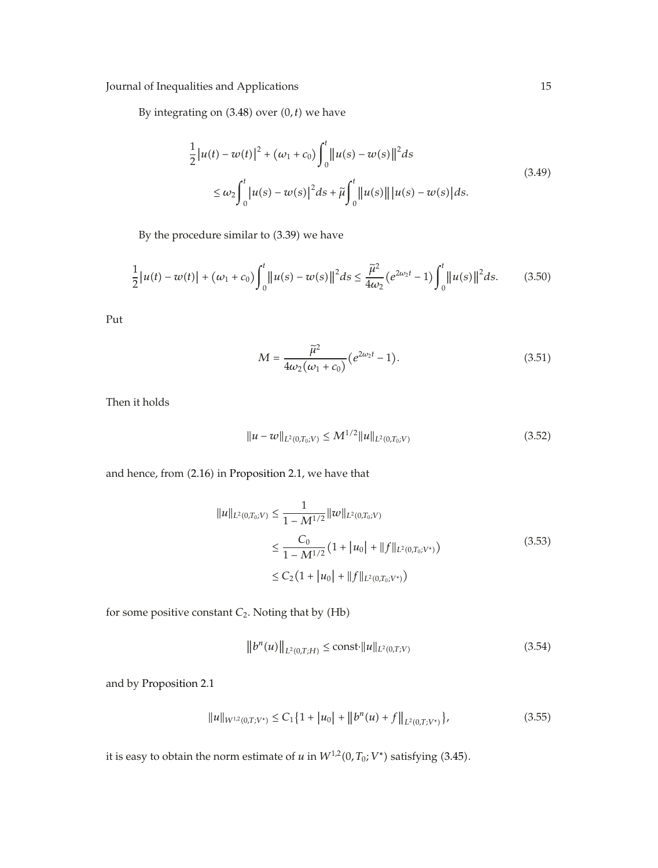By integrating on  $(3.48)$  over  $(0, t)$  we have

$$
\frac{1}{2}|u(t) - w(t)|^{2} + (\omega_{1} + c_{0}) \int_{0}^{t} ||u(s) - w(s)||^{2} ds
$$
\n
$$
\leq \omega_{2} \int_{0}^{t} |u(s) - w(s)|^{2} ds + \tilde{\mu} \int_{0}^{t} ||u(s)|| |u(s) - w(s)| ds.
$$
\n(3.49)

By the procedure similar to (3.39) we have

$$
\frac{1}{2}|u(t) - w(t)| + (\omega_1 + c_0) \int_0^t ||u(s) - w(s)||^2 ds \le \frac{\tilde{\mu}^2}{4\omega_2} (e^{2\omega_2 t} - 1) \int_0^t ||u(s)||^2 ds. \tag{3.50}
$$

Put

$$
M = \frac{\tilde{\mu}^2}{4\omega_2(\omega_1 + c_0)} \left(e^{2\omega_2 t} - 1\right).
$$
 (3.51)

Then it holds

$$
||u - w||_{L^{2}(0, T_{0}; V)} \leq M^{1/2} ||u||_{L^{2}(0, T_{0}; V)}
$$
\n(3.52)

and hence, from (2.16) in Proposition 2.1, we have that

$$
||u||_{L^{2}(0,T_{0};V)} \leq \frac{1}{1 - M^{1/2}} ||w||_{L^{2}(0,T_{0};V)}
$$
  
\n
$$
\leq \frac{C_{0}}{1 - M^{1/2}} \left(1 + |u_{0}| + ||f||_{L^{2}(0,T_{0};V^{*})}\right)
$$
  
\n
$$
\leq C_{2} \left(1 + |u_{0}| + ||f||_{L^{2}(0,T_{0};V^{*})}\right)
$$
\n(3.53)

for some positive constant  $C_2$ . Noting that by  $(Hb)$ 

$$
||b^{n}(u)||_{L^{2}(0,T;H)} \leq \text{const} \cdot ||u||_{L^{2}(0,T;V)}
$$
\n(3.54)

and by Proposition 2.1

$$
||u||_{W^{1,2}(0,T;V^*)} \le C_1 \{ 1 + |u_0| + ||b^n(u) + f||_{L^2(0,T;V^*)} \},
$$
\n(3.55)

it is easy to obtain the norm estimate of  $u$  in  $W^{1,2}(0,T_0;V^*)$  satisfying (3.45).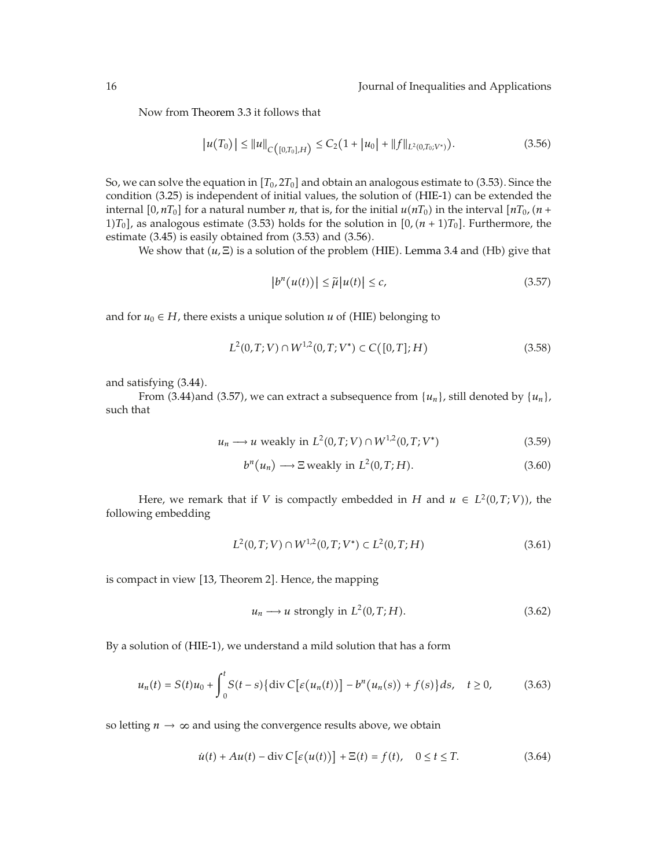Now from Theorem 3.3 it follows that

$$
|u(T_0)| \le ||u||_{C([0,T_0],H)} \le C_2(1+|u_0|+||f||_{L^2(0,T_0;V^*)}).
$$
\n(3.56)

So, we can solve the equation in  $[T_0, 2T_0]$  and obtain an analogous estimate to (3.53). Since the condition (3.25) is independent of initial values, the solution of (HIE-1) can be extended the internal  $[0, nT_0]$  for a natural number *n*, that is, for the initial  $u(nT_0)$  in the interval  $[nT_0, (n+m_0)]$ 1) $T_0$ ], as analogous estimate (3.53) holds for the solution in  $[0, (n + 1)T_0]$ . Furthermore, the estimate  $(3.45)$  is easily obtained from  $(3.53)$  and  $(3.56)$ .

We show that  $(u, \Xi)$  is a solution of the problem (HIE). Lemma 3.4 and (Hb) give that

$$
\left|b^{n}(u(t))\right| \leq \tilde{\mu}|u(t)| \leq c,
$$
\n(3.57)

and for  $u_0 \in H$ , there exists a unique solution  $u$  of (HIE) belonging to

$$
L^{2}(0,T;V) \cap W^{1,2}(0,T;V^{*}) \subset C([0,T];H)
$$
\n(3.58)

and satisfying (3.44).

From  $(3.44)$  and  $(3.57)$ , we can extract a subsequence from  $\{u_n\}$ , still denoted by  $\{u_n\}$ , such that

$$
u_n \longrightarrow u \text{ weakly in } L^2(0, T; V) \cap W^{1,2}(0, T; V^*)
$$
\n
$$
(3.59)
$$

$$
b^{n}(u_{n}) \longrightarrow \Xi \text{ weakly in } L^{2}(0,T;H). \tag{3.60}
$$

Here, we remark that if *V* is compactly embedded in *H* and  $u \in L^2(0,T;V)$ , the following embedding

$$
L^{2}(0,T;V) \cap W^{1,2}(0,T;V^{*}) \subset L^{2}(0,T;H)
$$
\n(3.61)

is compact in view [13, Theorem 2]. Hence, the mapping

$$
u_n \longrightarrow u \text{ strongly in } L^2(0, T; H). \tag{3.62}
$$

By a solution of (HIE-1), we understand a mild solution that has a form

$$
u_n(t) = S(t)u_0 + \int_0^t S(t-s) \{ \text{div } C \big[ \varepsilon(u_n(t)) \big] - b^n(u_n(s)) + f(s) \} ds, \quad t \ge 0,
$$
 (3.63)

so letting  $n \to \infty$  and using the convergence results above, we obtain

$$
\dot{u}(t) + Au(t) - \operatorname{div} C \left[ \varepsilon (u(t)) \right] + \Xi(t) = f(t), \quad 0 \le t \le T. \tag{3.64}
$$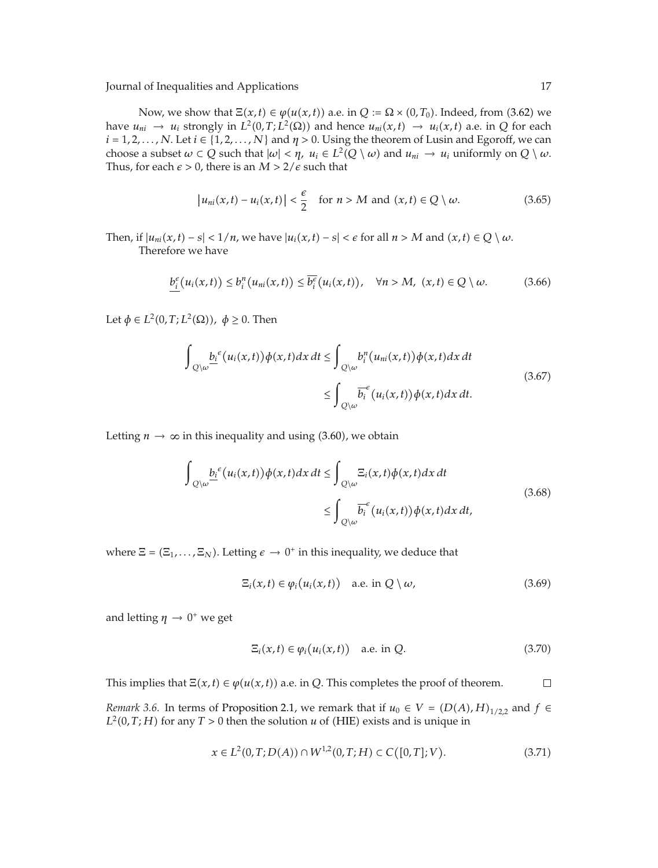Now, we show that  $\Xi(x, t) \in \varphi(u(x, t))$  a.e. in  $Q := \Omega \times (0, T_0)$ . Indeed, from (3.62) we have  $u_{ni} \to u_i$  strongly in  $L^2(0,T;L^2(\Omega))$  and hence  $u_{ni}(x,t) \to u_i(x,t)$  a.e. in *Q* for each  $i = 1, 2, \ldots, N$ . Let  $i \in \{1, 2, \ldots, N\}$  and  $\eta > 0$ . Using the theorem of Lusin and Egoroff, we can choose a subset  $\omega \subset Q$  such that  $|\omega| < \eta$ ,  $u_i \in L^2(Q \setminus \omega)$  and  $u_{ni} \to u_i$  uniformly on  $Q \setminus \omega$ . Thus, for each  $\epsilon > 0$ , there is an  $M > 2/\epsilon$  such that

$$
\left|u_{ni}(x,t)-u_i(x,t)\right|<\frac{\epsilon}{2}\quad\text{for }n>M\text{ and }(x,t)\in Q\setminus\omega.\tag{3.65}
$$

Then, if  $|u_{ni}(x,t) - s| < 1/n$ , we have  $|u_i(x,t) - s| < \epsilon$  for all  $n > M$  and  $(x,t) \in Q \setminus \omega$ . Therefore we have

$$
\underline{b_i^{\epsilon}}(u_i(x,t)) \leq b_i^n(u_{ni}(x,t)) \leq \overline{b_i^{\epsilon}}(u_i(x,t)), \quad \forall n > M, \ (x,t) \in Q \setminus \omega.
$$
 (3.66)

Let  $\phi \in L^2(0, T; L^2(\Omega))$ ,  $\phi \geq 0$ . Then

$$
\int_{Q\setminus\omega} \underline{b_i}^{\epsilon} (u_i(x,t)) \phi(x,t) dx dt \le \int_{Q\setminus\omega} b_i^n (u_{ni}(x,t)) \phi(x,t) dx dt
$$
\n
$$
\le \int_{Q\setminus\omega} \overline{b_i}^{\epsilon} (u_i(x,t)) \phi(x,t) dx dt.
$$
\n(3.67)

Letting  $n \to \infty$  in this inequality and using (3.60), we obtain

$$
\int_{Q\setminus\omega} \underline{b_i}^{\epsilon} (u_i(x,t)) \phi(x,t) dx dt \le \int_{Q\setminus\omega} \Xi_i(x,t) \phi(x,t) dx dt
$$
\n
$$
\le \int_{Q\setminus\omega} \overline{b_i}^{\epsilon} (u_i(x,t)) \phi(x,t) dx dt, \tag{3.68}
$$

where  $\Xi = (\Xi_1, \ldots, \Xi_N)$ . Letting  $\epsilon \to 0^+$  in this inequality, we deduce that

$$
\Xi_i(x,t) \in \varphi_i\big(u_i(x,t)\big) \quad \text{a.e. in } Q \setminus \omega,
$$
\n(3.69)

and letting  $\eta \rightarrow 0^+$  we get

$$
\Xi_i(x,t) \in \varphi_i(u_i(x,t)) \quad \text{a.e. in } Q. \tag{3.70}
$$

This implies that  $\Xi(x, t) \in \varphi(u(x, t))$  a.e. in *Q*. This completes the proof of theorem.  $\Box$ 

*Remark 3.6.* In terms of Proposition 2.1, we remark that if  $u_0 \in V = (D(A), H)_{1/2,2}$  and  $f \in$  $L^2(0,T;H)$  for any  $T > 0$  then the solution  $u$  of (HIE) exists and is unique in

$$
x \in L^{2}(0,T;D(A)) \cap W^{1,2}(0,T;H) \subset C([0,T];V). \tag{3.71}
$$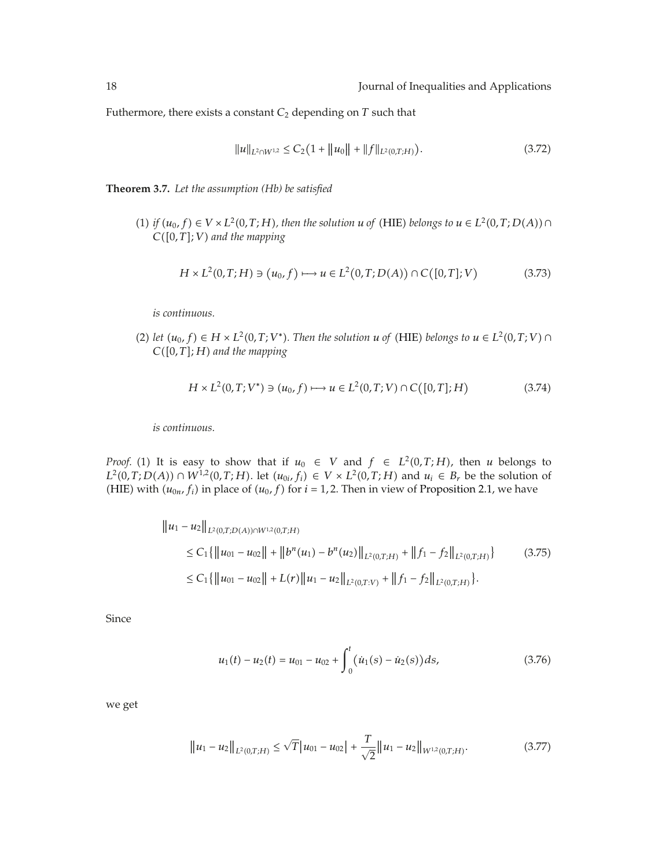Futhermore, there exists a constant  $C_2$  depending on  $T$  such that

$$
||u||_{L^{2}\cap W^{1,2}} \leq C_{2}(1+||u_{0}||+||f||_{L^{2}(0,T;H)}).
$$
\n(3.72)

**Theorem 3.7.** *Let the assumption (Hb) be satisfied*

 $(1)$  *if*  $(u_0, f) \in V \times L^2(0, T; H)$ , then the solution *u* of (HIE) belongs to  $u \in L^2(0, T; D(A)) \cap$ *C*-0*, T*; *V and the mapping*

$$
H \times L^{2}(0, T; H) \ni (u_{0}, f) \longmapsto u \in L^{2}(0, T; D(A)) \cap C([0, T]; V)
$$
\n(3.73)

*is continuous.*

(2) *let*  $(u_0, f)$  ∈ *H* × *L*<sup>2</sup>(0,*T*; *V*<sup>\*</sup>). Then the solution *u* of (HIE) *belongs* to *u* ∈ *L*<sup>2</sup>(0,*T*; *V*) ∩ *C*-0*, T*; *H and the mapping*

$$
H \times L^{2}(0,T;V^{*}) \ni (u_{0},f) \longmapsto u \in L^{2}(0,T;V) \cap C([0,T];H)
$$
\n(3.74)

*is continuous.*

*Proof.* (1) It is easy to show that if  $u_0 \in V$  and  $f \in L^2(0,T;H)$ , then *u* belongs to *L*<sup>2</sup>(0,*T*;*D*(*A*)) ∩ *W*<sup>1,2</sup>(0,*T*;*H*). let  $(u_{0i}, f_i)$  ∈ *V* × *L*<sup>2</sup>(0,*T*;*H*) and  $u_i$  ∈ *B<sub>r</sub>* be the solution of (HIE) with  $(u_{0n}, f_i)$  in place of  $(u_0, f)$  for  $i = 1, 2$ . Then in view of Proposition 2.1, we have

$$
\|u_1 - u_2\|_{L^2(0,T;D(A)) \cap W^{1,2}(0,T;H)}
$$
  
\n
$$
\leq C_1 \{ \|u_{01} - u_{02}\| + \|b^n(u_1) - b^n(u_2)\|_{L^2(0,T;H)} + \|f_1 - f_2\|_{L^2(0,T;H)} \}
$$
(3.75)  
\n
$$
\leq C_1 \{ \|u_{01} - u_{02}\| + L(r) \|u_1 - u_2\|_{L^2(0,T;V)} + \|f_1 - f_2\|_{L^2(0,T;H)} \}.
$$

Since

$$
u_1(t) - u_2(t) = u_{01} - u_{02} + \int_0^t (\dot{u}_1(s) - \dot{u}_2(s))ds,
$$
\n(3.76)

we get

$$
||u_1 - u_2||_{L^2(0,T;H)} \le \sqrt{T} |u_{01} - u_{02}| + \frac{T}{\sqrt{2}} ||u_1 - u_2||_{W^{1,2}(0,T;H)}.
$$
\n(3.77)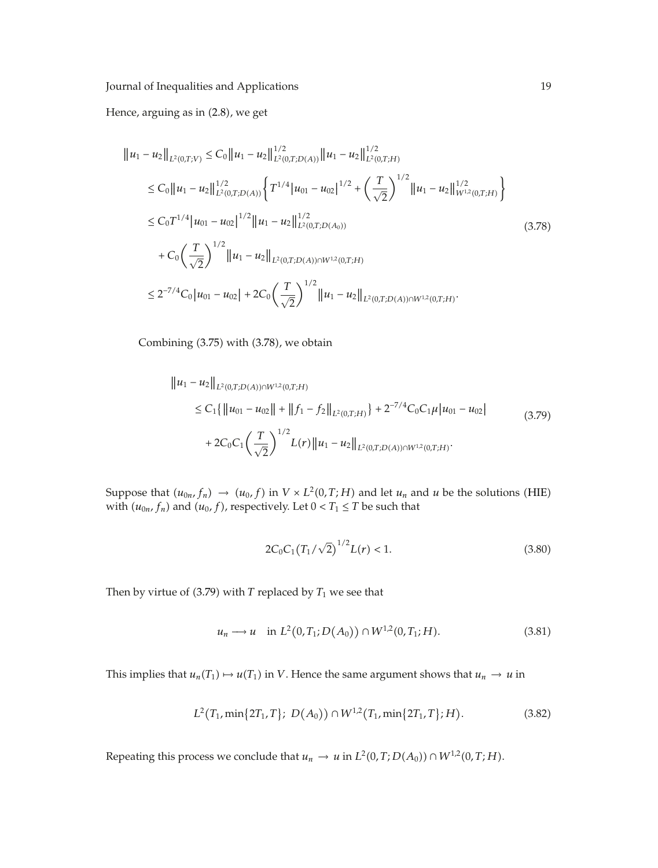Hence, arguing as in (2.8), we get

$$
||u_1 - u_2||_{L^2(0,T;V)} \leq C_0 ||u_1 - u_2||_{L^2(0,T;D(A))}^{1/2} ||u_1 - u_2||_{L^2(0,T;H)}^{1/2}
$$
  
\n
$$
\leq C_0 ||u_1 - u_2||_{L^2(0,T;D(A))}^{1/2} \left\{ T^{1/4} |u_{01} - u_{02}|^{1/2} + \left( \frac{T}{\sqrt{2}} \right)^{1/2} ||u_1 - u_2||_{W^{1,2}(0,T;H)}^{1/2} \right\}
$$
  
\n
$$
\leq C_0 T^{1/4} |u_{01} - u_{02}|^{1/2} ||u_1 - u_2||_{L^2(0,T;D(A_0))}^{1/2}
$$
  
\n
$$
+ C_0 \left( \frac{T}{\sqrt{2}} \right)^{1/2} ||u_1 - u_2||_{L^2(0,T;D(A)) \cap W^{1,2}(0,T;H)}
$$
  
\n
$$
\leq 2^{-7/4} C_0 |u_{01} - u_{02}| + 2C_0 \left( \frac{T}{\sqrt{2}} \right)^{1/2} ||u_1 - u_2||_{L^2(0,T;D(A)) \cap W^{1,2}(0,T;H)}.
$$
  
\n(3.78)

Combining (3.75) with (3.78), we obtain

$$
\|u_1 - u_2\|_{L^2(0,T;D(A)) \cap W^{1,2}(0,T;H)}
$$
  
\n
$$
\leq C_1 \{ \|u_{01} - u_{02}\| + \|f_1 - f_2\|_{L^2(0,T;H)} \} + 2^{-7/4} C_0 C_1 \mu |u_{01} - u_{02}|
$$
  
\n
$$
+ 2C_0 C_1 \left(\frac{T}{\sqrt{2}}\right)^{1/2} L(r) \|u_1 - u_2\|_{L^2(0,T;D(A)) \cap W^{1,2}(0,T;H)}.
$$
\n(3.79)

Suppose that  $(u_{0n}, f_n) \rightarrow (u_0, f)$  in  $V \times L^2(0, T; H)$  and let  $u_n$  and  $u$  be the solutions (HIE) with  $(u_{0n}, f_n)$  and  $(u_0, f)$ , respectively. Let  $0 < T_1 \leq T$  be such that

$$
2C_0C_1(T_1/\sqrt{2})^{1/2}L(r) < 1. \tag{3.80}
$$

Then by virtue of  $(3.79)$  with *T* replaced by  $T_1$  we see that

$$
u_n \longrightarrow u \quad \text{in } L^2(0, T_1; D(A_0)) \cap W^{1,2}(0, T_1; H). \tag{3.81}
$$

This implies that  $u_n(T_1) \mapsto u(T_1)$  in *V*. Hence the same argument shows that  $u_n \to u$  in

$$
L^{2}(T_{1}, \min\{2T_{1}, T\}; D(A_{0})) \cap W^{1,2}(T_{1}, \min\{2T_{1}, T\}; H). \tag{3.82}
$$

Repeating this process we conclude that  $u_n \to u$  in  $L^2(0,T;D(A_0)) \cap W^{1,2}(0,T;H)$ .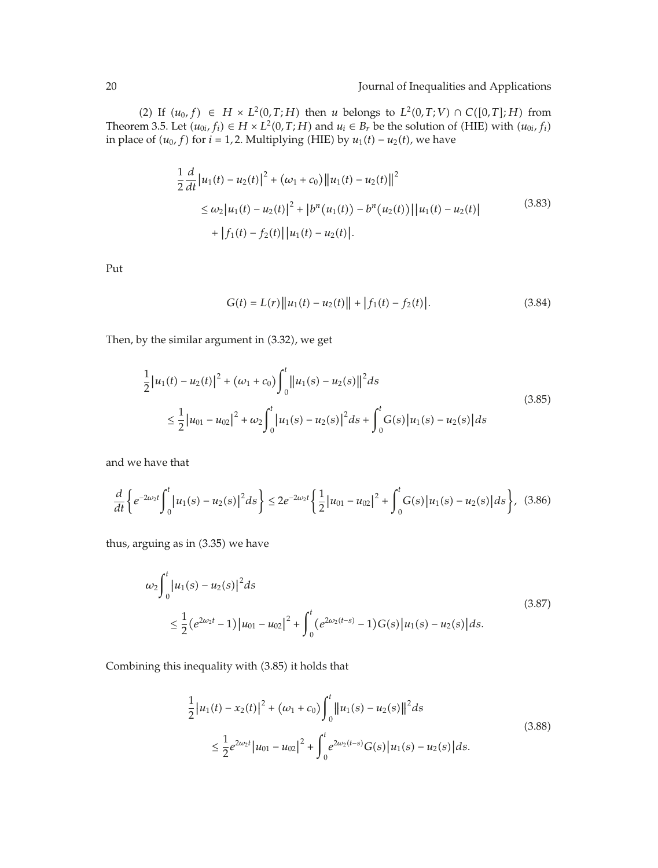(2) If  $(u_0, f)$  ∈ *H* × *L*<sup>2</sup>(0,*T*;*H*) then *u* belongs to *L*<sup>2</sup>(0,*T*;*V*) ∩ *C*([0,*T*];*H*) from Theorem 3.5. Let  $(u_{0i}, f_i) \in H \times L^2(0, T; H)$  and  $u_i \in B_r$  be the solution of (HIE) with  $(u_{0i}, f_i)$ in place of  $(u_0, f)$  for  $i = 1, 2$ . Multiplying (HIE) by  $u_1(t) - u_2(t)$ , we have

$$
\frac{1}{2}\frac{d}{dt}\left|u_1(t) - u_2(t)\right|^2 + \left(\omega_1 + c_0\right)\left\|u_1(t) - u_2(t)\right\|^2
$$
\n
$$
\leq \omega_2\left|u_1(t) - u_2(t)\right|^2 + \left|b^n(u_1(t)) - b^n(u_2(t))\right|\left|u_1(t) - u_2(t)\right|
$$
\n
$$
+ \left|f_1(t) - f_2(t)\right|\left|u_1(t) - u_2(t)\right|.
$$
\n(3.83)

Put

$$
G(t) = L(r) ||u_1(t) - u_2(t)|| + |f_1(t) - f_2(t)|.
$$
 (3.84)

Then, by the similar argument in (3.32), we get

$$
\frac{1}{2}|u_1(t) - u_2(t)|^2 + (\omega_1 + c_0) \int_0^t ||u_1(s) - u_2(s)||^2 ds
$$
\n
$$
\leq \frac{1}{2}|u_{01} - u_{02}|^2 + \omega_2 \int_0^t |u_1(s) - u_2(s)|^2 ds + \int_0^t G(s)|u_1(s) - u_2(s)| ds
$$
\n(3.85)

and we have that

$$
\frac{d}{dt}\left\{e^{-2\omega_2 t}\int_0^t |u_1(s)-u_2(s)|^2 ds\right\} \leq 2e^{-2\omega_2 t}\left\{\frac{1}{2}|u_{01}-u_{02}|^2+\int_0^t G(s)|u_1(s)-u_2(s)|ds\right\},\tag{3.86}
$$

thus, arguing as in (3.35) we have

$$
\omega_2 \int_0^t |u_1(s) - u_2(s)|^2 ds
$$
\n
$$
\leq \frac{1}{2} (e^{2\omega_2 t} - 1) |u_{01} - u_{02}|^2 + \int_0^t (e^{2\omega_2 (t-s)} - 1) G(s) |u_1(s) - u_2(s)| ds.
$$
\n(3.87)

Combining this inequality with (3.85) it holds that

$$
\frac{1}{2}|u_1(t) - x_2(t)|^2 + (\omega_1 + c_0) \int_0^t ||u_1(s) - u_2(s)||^2 ds
$$
\n
$$
\leq \frac{1}{2} e^{2\omega_2 t} |u_{01} - u_{02}|^2 + \int_0^t e^{2\omega_2(t-s)} G(s) |u_1(s) - u_2(s)| ds.
$$
\n(3.88)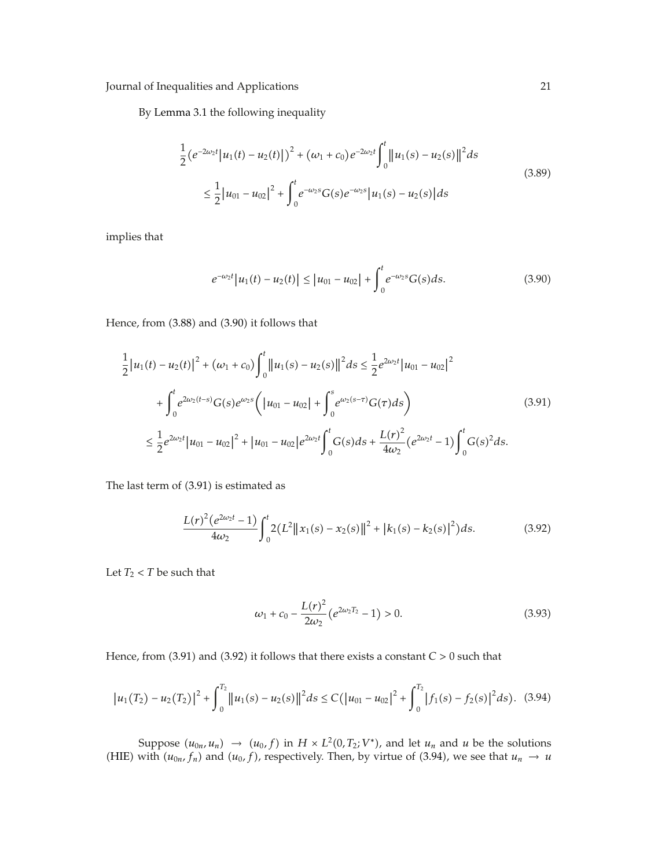By Lemma 3.1 the following inequality

$$
\frac{1}{2} (e^{-2\omega_2 t} |u_1(t) - u_2(t)|)^2 + (\omega_1 + c_0) e^{-2\omega_2 t} \int_0^t ||u_1(s) - u_2(s)||^2 ds
$$
\n
$$
\leq \frac{1}{2} |u_{01} - u_{02}|^2 + \int_0^t e^{-\omega_2 s} G(s) e^{-\omega_2 s} |u_1(s) - u_2(s)| ds
$$
\n(3.89)

implies that

$$
e^{-\omega_2 t} |u_1(t) - u_2(t)| \le |u_{01} - u_{02}| + \int_0^t e^{-\omega_2 s} G(s) ds.
$$
 (3.90)

Hence, from (3.88) and (3.90) it follows that

$$
\frac{1}{2}|u_1(t) - u_2(t)|^2 + (\omega_1 + c_0) \int_0^t ||u_1(s) - u_2(s)||^2 ds \le \frac{1}{2} e^{2\omega_2 t} |u_{01} - u_{02}|^2 \n+ \int_0^t e^{2\omega_2(t-s)} G(s) e^{\omega_2 s} \left( |u_{01} - u_{02}| + \int_0^s e^{\omega_2(s-\tau)} G(\tau) ds \right) \n\le \frac{1}{2} e^{2\omega_2 t} |u_{01} - u_{02}|^2 + |u_{01} - u_{02}| e^{2\omega_2 t} \int_0^t G(s) ds + \frac{L(r)^2}{4\omega_2} (e^{2\omega_2 t} - 1) \int_0^t G(s)^2 ds.
$$
\n(3.91)

The last term of (3.91) is estimated as

$$
\frac{L(r)^{2}(e^{2\omega_{2}t}-1)}{4\omega_{2}}\int_{0}^{t}2(L^{2}\|x_{1}(s)-x_{2}(s)\|^{2}+|k_{1}(s)-k_{2}(s)|^{2})ds.
$$
 (3.92)

Let  $T_2 < T$  be such that

$$
\omega_1 + c_0 - \frac{L(r)^2}{2\omega_2} \left(e^{2\omega_2 T_2} - 1\right) > 0. \tag{3.93}
$$

Hence, from  $(3.91)$  and  $(3.92)$  it follows that there exists a constant  $C > 0$  such that

$$
\left|u_1(T_2)-u_2(T_2)\right|^2+\int_0^{T_2}\left\|u_1(s)-u_2(s)\right\|^2ds\leq C\left(\left|u_{01}-u_{02}\right|^2+\int_0^{T_2}\left|f_1(s)-f_2(s)\right|^2ds\right). \tag{3.94}
$$

Suppose  $(u_{0n}, u_n) \rightarrow (u_0, f)$  in  $H \times L^2(0, T_2; V^*)$ , and let  $u_n$  and  $u$  be the solutions (HIE) with  $(u_{0n}, f_n)$  and  $(u_0, f)$ , respectively. Then, by virtue of (3.94), we see that  $u_n \to u$